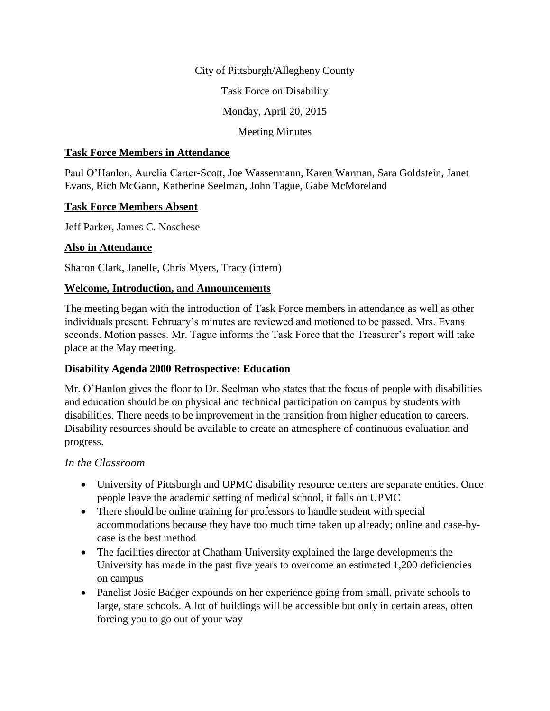#### City of Pittsburgh/Allegheny County

Task Force on Disability

Monday, April 20, 2015

Meeting Minutes

#### **Task Force Members in Attendance**

Paul O'Hanlon, Aurelia Carter-Scott, Joe Wassermann, Karen Warman, Sara Goldstein, Janet Evans, Rich McGann, Katherine Seelman, John Tague, Gabe McMoreland

#### **Task Force Members Absent**

Jeff Parker, James C. Noschese

## **Also in Attendance**

Sharon Clark, Janelle, Chris Myers, Tracy (intern)

## **Welcome, Introduction, and Announcements**

The meeting began with the introduction of Task Force members in attendance as well as other individuals present. February's minutes are reviewed and motioned to be passed. Mrs. Evans seconds. Motion passes. Mr. Tague informs the Task Force that the Treasurer's report will take place at the May meeting.

## **Disability Agenda 2000 Retrospective: Education**

Mr. O'Hanlon gives the floor to Dr. Seelman who states that the focus of people with disabilities and education should be on physical and technical participation on campus by students with disabilities. There needs to be improvement in the transition from higher education to careers. Disability resources should be available to create an atmosphere of continuous evaluation and progress.

## *In the Classroom*

- University of Pittsburgh and UPMC disability resource centers are separate entities. Once people leave the academic setting of medical school, it falls on UPMC
- There should be online training for professors to handle student with special accommodations because they have too much time taken up already; online and case-bycase is the best method
- The facilities director at Chatham University explained the large developments the University has made in the past five years to overcome an estimated 1,200 deficiencies on campus
- Panelist Josie Badger expounds on her experience going from small, private schools to large, state schools. A lot of buildings will be accessible but only in certain areas, often forcing you to go out of your way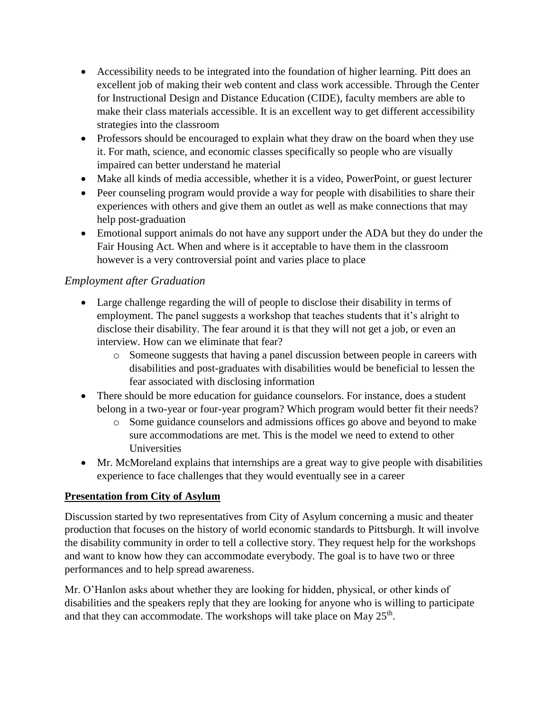- Accessibility needs to be integrated into the foundation of higher learning. Pitt does an excellent job of making their web content and class work accessible. Through the Center for Instructional Design and Distance Education (CIDE), faculty members are able to make their class materials accessible. It is an excellent way to get different accessibility strategies into the classroom
- Professors should be encouraged to explain what they draw on the board when they use it. For math, science, and economic classes specifically so people who are visually impaired can better understand he material
- Make all kinds of media accessible, whether it is a video, PowerPoint, or guest lecturer
- Peer counseling program would provide a way for people with disabilities to share their experiences with others and give them an outlet as well as make connections that may help post-graduation
- Emotional support animals do not have any support under the ADA but they do under the Fair Housing Act. When and where is it acceptable to have them in the classroom however is a very controversial point and varies place to place

# *Employment after Graduation*

- Large challenge regarding the will of people to disclose their disability in terms of employment. The panel suggests a workshop that teaches students that it's alright to disclose their disability. The fear around it is that they will not get a job, or even an interview. How can we eliminate that fear?
	- o Someone suggests that having a panel discussion between people in careers with disabilities and post-graduates with disabilities would be beneficial to lessen the fear associated with disclosing information
- There should be more education for guidance counselors. For instance, does a student belong in a two-year or four-year program? Which program would better fit their needs?
	- o Some guidance counselors and admissions offices go above and beyond to make sure accommodations are met. This is the model we need to extend to other **Universities**
- Mr. McMoreland explains that internships are a great way to give people with disabilities experience to face challenges that they would eventually see in a career

# **Presentation from City of Asylum**

Discussion started by two representatives from City of Asylum concerning a music and theater production that focuses on the history of world economic standards to Pittsburgh. It will involve the disability community in order to tell a collective story. They request help for the workshops and want to know how they can accommodate everybody. The goal is to have two or three performances and to help spread awareness.

Mr. O'Hanlon asks about whether they are looking for hidden, physical, or other kinds of disabilities and the speakers reply that they are looking for anyone who is willing to participate and that they can accommodate. The workshops will take place on May  $25<sup>th</sup>$ .